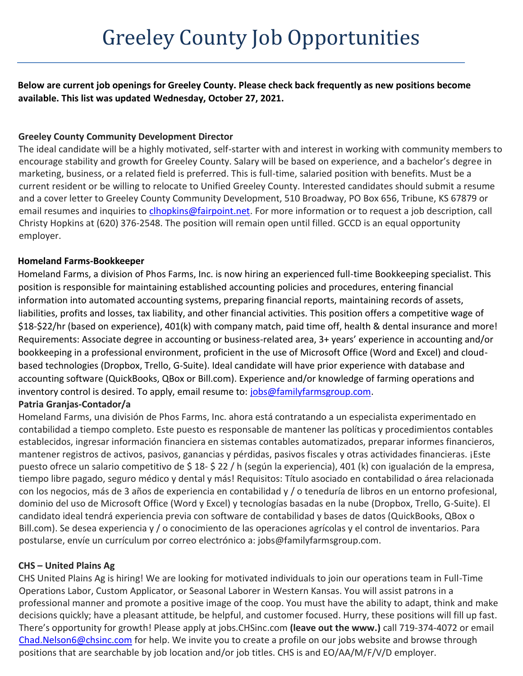**Below are current job openings for Greeley County. Please check back frequently as new positions become available. This list was updated Wednesday, October 27, 2021.**

# **Greeley County Community Development Director**

The ideal candidate will be a highly motivated, self-starter with and interest in working with community members to encourage stability and growth for Greeley County. Salary will be based on experience, and a bachelor's degree in marketing, business, or a related field is preferred. This is full-time, salaried position with benefits. Must be a current resident or be willing to relocate to Unified Greeley County. Interested candidates should submit a resume and a cover letter to Greeley County Community Development, 510 Broadway, PO Box 656, Tribune, KS 67879 or email resumes and inquiries to *clhopkins@fairpoint.net*. For more information or to request a job description, call Christy Hopkins at (620) 376-2548. The position will remain open until filled. GCCD is an equal opportunity employer.

# **Homeland Farms-Bookkeeper**

Homeland Farms, a division of Phos Farms, Inc. is now hiring an experienced full-time Bookkeeping specialist. This position is responsible for maintaining established accounting policies and procedures, entering financial information into automated accounting systems, preparing financial reports, maintaining records of assets, liabilities, profits and losses, tax liability, and other financial activities. This position offers a competitive wage of \$18-\$22/hr (based on experience), 401(k) with company match, paid time off, health & dental insurance and more! Requirements: Associate degree in accounting or business-related area, 3+ years' experience in accounting and/or bookkeeping in a professional environment, proficient in the use of Microsoft Office (Word and Excel) and cloudbased technologies (Dropbox, Trello, G-Suite). Ideal candidate will have prior experience with database and accounting software (QuickBooks, QBox or Bill.com). Experience and/or knowledge of farming operations and inventory control is desired. To apply, email resume to: [jobs@familyfarmsgroup.com.](mailto:jobs@familyfarmsgroup.com)

# **Patria Granjas-Contador/a**

Homeland Farms, una división de Phos Farms, Inc. ahora está contratando a un especialista experimentado en contabilidad a tiempo completo. Este puesto es responsable de mantener las políticas y procedimientos contables establecidos, ingresar información financiera en sistemas contables automatizados, preparar informes financieros, mantener registros de activos, pasivos, ganancias y pérdidas, pasivos fiscales y otras actividades financieras. ¡Este puesto ofrece un salario competitivo de \$ 18- \$ 22 / h (según la experiencia), 401 (k) con igualación de la empresa, tiempo libre pagado, seguro médico y dental y más! Requisitos: Título asociado en contabilidad o área relacionada con los negocios, más de 3 años de experiencia en contabilidad y / o teneduría de libros en un entorno profesional, dominio del uso de Microsoft Office (Word y Excel) y tecnologías basadas en la nube (Dropbox, Trello, G-Suite). El candidato ideal tendrá experiencia previa con software de contabilidad y bases de datos (QuickBooks, QBox o Bill.com). Se desea experiencia y / o conocimiento de las operaciones agrícolas y el control de inventarios. Para postularse, envíe un currículum por correo electrónico a: jobs@familyfarmsgroup.com.

# **CHS – United Plains Ag**

CHS United Plains Ag is hiring! We are looking for motivated individuals to join our operations team in Full-Time Operations Labor, Custom Applicator, or Seasonal Laborer in Western Kansas. You will assist patrons in a professional manner and promote a positive image of the coop. You must have the ability to adapt, think and make decisions quickly; have a pleasant attitude, be helpful, and customer focused. Hurry, these positions will fill up fast. There's opportunity for growth! Please apply at jobs.CHSinc.com **(leave out the www.)** call 719-374-4072 or email [Chad.Nelson6@chsinc.com](mailto:Chad.Nelson6@chsinc.com) for help. We invite you to create a profile on our jobs website and browse through positions that are searchable by job location and/or job titles. CHS is and EO/AA/M/F/V/D employer.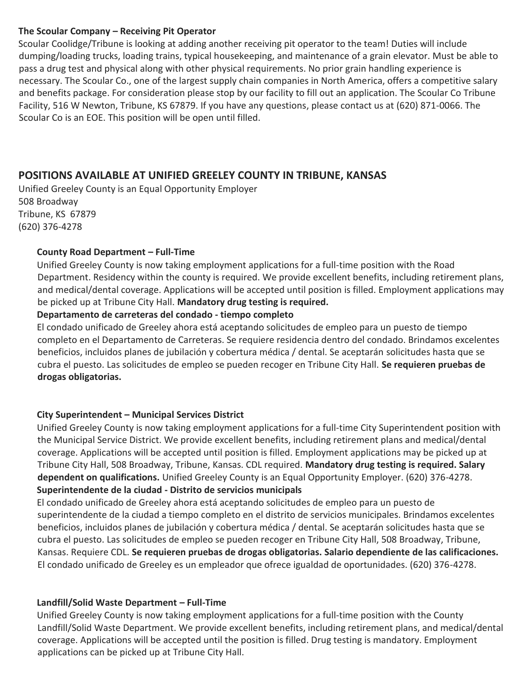#### **The Scoular Company – Receiving Pit Operator**

Scoular Coolidge/Tribune is looking at adding another receiving pit operator to the team! Duties will include dumping/loading trucks, loading trains, typical housekeeping, and maintenance of a grain elevator. Must be able to pass a drug test and physical along with other physical requirements. No prior grain handling experience is necessary. The Scoular Co., one of the largest supply chain companies in North America, offers a competitive salary and benefits package. For consideration please stop by our facility to fill out an application. The Scoular Co Tribune Facility, 516 W Newton, Tribune, KS 67879. If you have any questions, please contact us at (620) 871-0066. The Scoular Co is an EOE. This position will be open until filled.

# **POSITIONS AVAILABLE AT UNIFIED GREELEY COUNTY IN TRIBUNE, KANSAS**

Unified Greeley County is an Equal Opportunity Employer 508 Broadway Tribune, KS 67879 (620) 376-4278

#### **County Road Department – Full-Time**

Unified Greeley County is now taking employment applications for a full-time position with the Road Department. Residency within the county is required. We provide excellent benefits, including retirement plans, and medical/dental coverage. Applications will be accepted until position is filled. Employment applications may be picked up at Tribune City Hall. **Mandatory drug testing is required.**

#### **Departamento de carreteras del condado - tiempo completo**

El condado unificado de Greeley ahora está aceptando solicitudes de empleo para un puesto de tiempo completo en el Departamento de Carreteras. Se requiere residencia dentro del condado. Brindamos excelentes beneficios, incluidos planes de jubilación y cobertura médica / dental. Se aceptarán solicitudes hasta que se cubra el puesto. Las solicitudes de empleo se pueden recoger en Tribune City Hall. **Se requieren pruebas de drogas obligatorias.**

#### **City Superintendent – Municipal Services District**

Unified Greeley County is now taking employment applications for a full-time City Superintendent position with the Municipal Service District. We provide excellent benefits, including retirement plans and medical/dental coverage. Applications will be accepted until position is filled. Employment applications may be picked up at Tribune City Hall, 508 Broadway, Tribune, Kansas. CDL required. **Mandatory drug testing is required. Salary dependent on qualifications.** Unified Greeley County is an Equal Opportunity Employer. (620) 376-4278. **Superintendente de la ciudad - Distrito de servicios municipals**

El condado unificado de Greeley ahora está aceptando solicitudes de empleo para un puesto de superintendente de la ciudad a tiempo completo en el distrito de servicios municipales. Brindamos excelentes beneficios, incluidos planes de jubilación y cobertura médica / dental. Se aceptarán solicitudes hasta que se cubra el puesto. Las solicitudes de empleo se pueden recoger en Tribune City Hall, 508 Broadway, Tribune, Kansas. Requiere CDL. **Se requieren pruebas de drogas obligatorias. Salario dependiente de las calificaciones.** El condado unificado de Greeley es un empleador que ofrece igualdad de oportunidades. (620) 376-4278.

# **Landfill/Solid Waste Department – Full-Time**

Unified Greeley County is now taking employment applications for a full-time position with the County Landfill/Solid Waste Department. We provide excellent benefits, including retirement plans, and medical/dental coverage. Applications will be accepted until the position is filled. Drug testing is mandatory. Employment applications can be picked up at Tribune City Hall.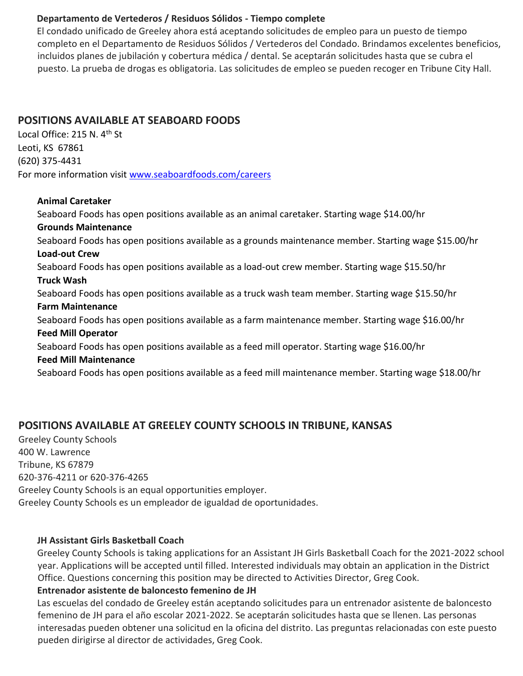### **Departamento de Vertederos / Residuos Sólidos - Tiempo complete**

El condado unificado de Greeley ahora está aceptando solicitudes de empleo para un puesto de tiempo completo en el Departamento de Residuos Sólidos / Vertederos del Condado. Brindamos excelentes beneficios, incluidos planes de jubilación y cobertura médica / dental. Se aceptarán solicitudes hasta que se cubra el puesto. La prueba de drogas es obligatoria. Las solicitudes de empleo se pueden recoger en Tribune City Hall.

# **POSITIONS AVAILABLE AT SEABOARD FOODS**

Local Office: 215 N. 4<sup>th</sup> St Leoti, KS 67861 (620) 375-4431 For more information visit [www.seaboardfoods.com/careers](http://www.seaboardfoods.com/careers)

#### **Animal Caretaker**

Seaboard Foods has open positions available as an animal caretaker. Starting wage \$14.00/hr **Grounds Maintenance** Seaboard Foods has open positions available as a grounds maintenance member. Starting wage \$15.00/hr **Load-out Crew** Seaboard Foods has open positions available as a load-out crew member. Starting wage \$15.50/hr **Truck Wash** Seaboard Foods has open positions available as a truck wash team member. Starting wage \$15.50/hr **Farm Maintenance** Seaboard Foods has open positions available as a farm maintenance member. Starting wage \$16.00/hr **Feed Mill Operator** Seaboard Foods has open positions available as a feed mill operator. Starting wage \$16.00/hr **Feed Mill Maintenance** Seaboard Foods has open positions available as a feed mill maintenance member. Starting wage \$18.00/hr

# **POSITIONS AVAILABLE AT GREELEY COUNTY SCHOOLS IN TRIBUNE, KANSAS**

Greeley County Schools 400 W. Lawrence Tribune, KS 67879 620-376-4211 or 620-376-4265 Greeley County Schools is an equal opportunities employer. Greeley County Schools es un empleador de igualdad de oportunidades.

#### **JH Assistant Girls Basketball Coach**

Greeley County Schools is taking applications for an Assistant JH Girls Basketball Coach for the 2021-2022 school year. Applications will be accepted until filled. Interested individuals may obtain an application in the District Office. Questions concerning this position may be directed to Activities Director, Greg Cook.

# **Entrenador asistente de baloncesto femenino de JH**

Las escuelas del condado de Greeley están aceptando solicitudes para un entrenador asistente de baloncesto femenino de JH para el año escolar 2021-2022. Se aceptarán solicitudes hasta que se llenen. Las personas interesadas pueden obtener una solicitud en la oficina del distrito. Las preguntas relacionadas con este puesto pueden dirigirse al director de actividades, Greg Cook.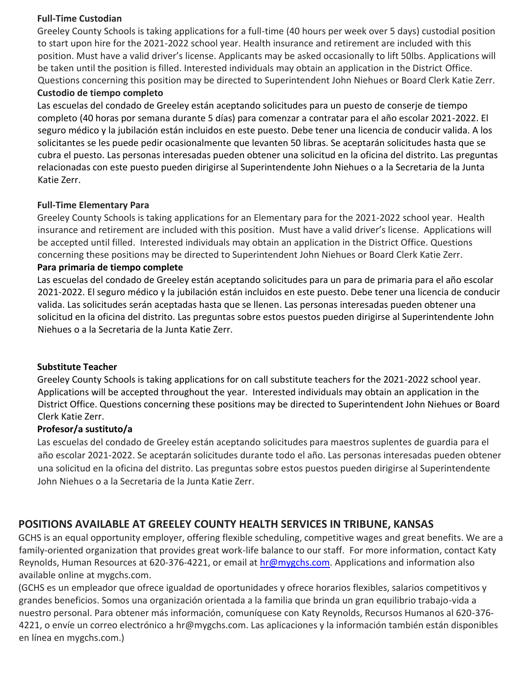#### **Full-Time Custodian**

Greeley County Schools is taking applications for a full-time (40 hours per week over 5 days) custodial position to start upon hire for the 2021-2022 school year. Health insurance and retirement are included with this position. Must have a valid driver's license. Applicants may be asked occasionally to lift 50lbs. Applications will be taken until the position is filled. Interested individuals may obtain an application in the District Office. Questions concerning this position may be directed to Superintendent John Niehues or Board Clerk Katie Zerr.

### **Custodio de tiempo completo**

Las escuelas del condado de Greeley están aceptando solicitudes para un puesto de conserje de tiempo completo (40 horas por semana durante 5 días) para comenzar a contratar para el año escolar 2021-2022. El seguro médico y la jubilación están incluidos en este puesto. Debe tener una licencia de conducir valida. A los solicitantes se les puede pedir ocasionalmente que levanten 50 libras. Se aceptarán solicitudes hasta que se cubra el puesto. Las personas interesadas pueden obtener una solicitud en la oficina del distrito. Las preguntas relacionadas con este puesto pueden dirigirse al Superintendente John Niehues o a la Secretaria de la Junta Katie Zerr.

#### **Full-Time Elementary Para**

Greeley County Schools is taking applications for an Elementary para for the 2021-2022 school year. Health insurance and retirement are included with this position. Must have a valid driver's license. Applications will be accepted until filled. Interested individuals may obtain an application in the District Office. Questions concerning these positions may be directed to Superintendent John Niehues or Board Clerk Katie Zerr.

#### **Para primaria de tiempo complete**

Las escuelas del condado de Greeley están aceptando solicitudes para un para de primaria para el año escolar 2021-2022. El seguro médico y la jubilación están incluidos en este puesto. Debe tener una licencia de conducir valida. Las solicitudes serán aceptadas hasta que se llenen. Las personas interesadas pueden obtener una solicitud en la oficina del distrito. Las preguntas sobre estos puestos pueden dirigirse al Superintendente John Niehues o a la Secretaria de la Junta Katie Zerr.

#### **Substitute Teacher**

Greeley County Schools is taking applications for on call substitute teachers for the 2021-2022 school year. Applications will be accepted throughout the year. Interested individuals may obtain an application in the District Office. Questions concerning these positions may be directed to Superintendent John Niehues or Board Clerk Katie Zerr.

# **Profesor/a sustituto/a**

Las escuelas del condado de Greeley están aceptando solicitudes para maestros suplentes de guardia para el año escolar 2021-2022. Se aceptarán solicitudes durante todo el año. Las personas interesadas pueden obtener una solicitud en la oficina del distrito. Las preguntas sobre estos puestos pueden dirigirse al Superintendente John Niehues o a la Secretaria de la Junta Katie Zerr.

# **POSITIONS AVAILABLE AT GREELEY COUNTY HEALTH SERVICES IN TRIBUNE, KANSAS**

GCHS is an equal opportunity employer, offering flexible scheduling, competitive wages and great benefits. We are a family-oriented organization that provides great work-life balance to our staff. For more information, contact Katy Reynolds, Human Resources at 620-376-4221, or email at hr@mygchs.com. Applications and information also available online at mygchs.com.

(GCHS es un empleador que ofrece igualdad de oportunidades y ofrece horarios flexibles, salarios competitivos y grandes beneficios. Somos una organización orientada a la familia que brinda un gran equilibrio trabajo-vida a nuestro personal. Para obtener más información, comuníquese con Katy Reynolds, Recursos Humanos al 620-376- 4221, o envíe un correo electrónico a hr@mygchs.com. Las aplicaciones y la información también están disponibles en línea en mygchs.com.)